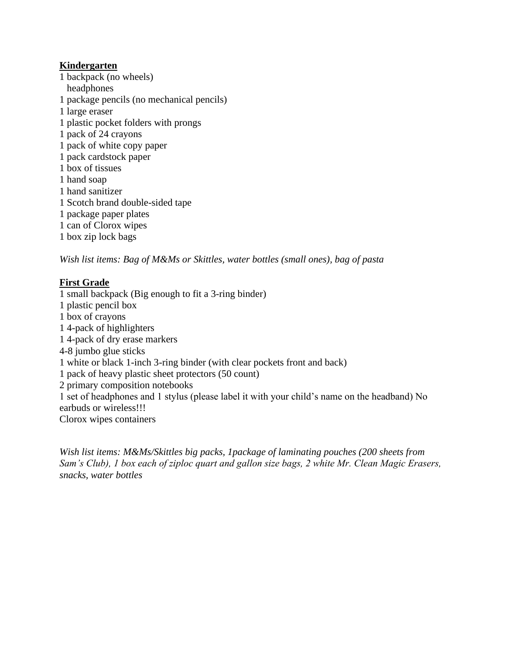#### **Kindergarten**

1 backpack (no wheels) headphones 1 package pencils (no mechanical pencils) 1 large eraser 1 plastic pocket folders with prongs 1 pack of 24 crayons 1 pack of white copy paper 1 pack cardstock paper 1 box of tissues 1 hand soap 1 hand sanitizer 1 Scotch brand double-sided tape 1 package paper plates 1 can of Clorox wipes 1 box zip lock bags

*Wish list items: Bag of M&Ms or Skittles, water bottles (small ones), bag of pasta*

### **First Grade**

1 small backpack (Big enough to fit a 3-ring binder) 1 plastic pencil box 1 box of crayons 1 4-pack of highlighters 1 4-pack of dry erase markers 4-8 jumbo glue sticks 1 white or black 1-inch 3-ring binder (with clear pockets front and back) 1 pack of heavy plastic sheet protectors (50 count) 2 primary composition notebooks 1 set of headphones and 1 stylus (please label it with your child's name on the headband) No earbuds or wireless!!! Clorox wipes containers

*Wish list items: M&Ms/Skittles big packs, 1package of laminating pouches (200 sheets from Sam's Club), 1 box each of ziploc quart and gallon size bags, 2 white Mr. Clean Magic Erasers, snacks, water bottles*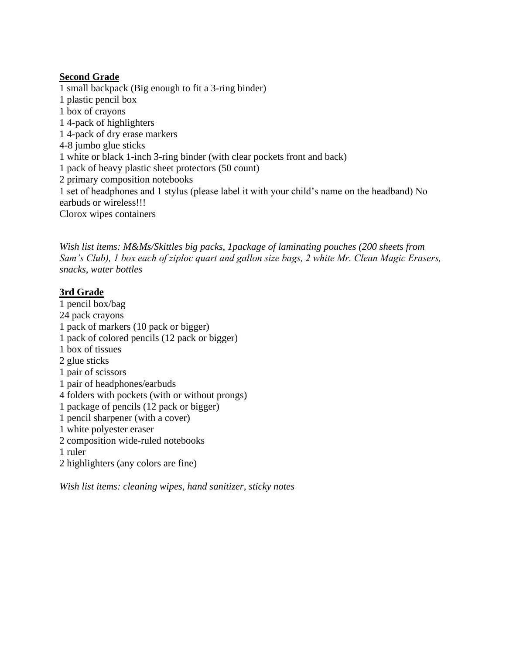#### **Second Grade**

1 small backpack (Big enough to fit a 3-ring binder) 1 plastic pencil box 1 box of crayons 1 4-pack of highlighters 1 4-pack of dry erase markers 4-8 jumbo glue sticks 1 white or black 1-inch 3-ring binder (with clear pockets front and back) 1 pack of heavy plastic sheet protectors (50 count) 2 primary composition notebooks 1 set of headphones and 1 stylus (please label it with your child's name on the headband) No earbuds or wireless!!! Clorox wipes containers

*Wish list items: M&Ms/Skittles big packs, 1package of laminating pouches (200 sheets from Sam's Club), 1 box each of ziploc quart and gallon size bags, 2 white Mr. Clean Magic Erasers, snacks, water bottles*

## **3rd Grade**

1 pencil box/bag 24 pack crayons 1 pack of markers (10 pack or bigger) 1 pack of colored pencils (12 pack or bigger) 1 box of tissues 2 glue sticks 1 pair of scissors 1 pair of headphones/earbuds 4 folders with pockets (with or without prongs) 1 package of pencils (12 pack or bigger) 1 pencil sharpener (with a cover) 1 white polyester eraser 2 composition wide-ruled notebooks 1 ruler 2 highlighters (any colors are fine)

*Wish list items: cleaning wipes, hand sanitizer, sticky notes*